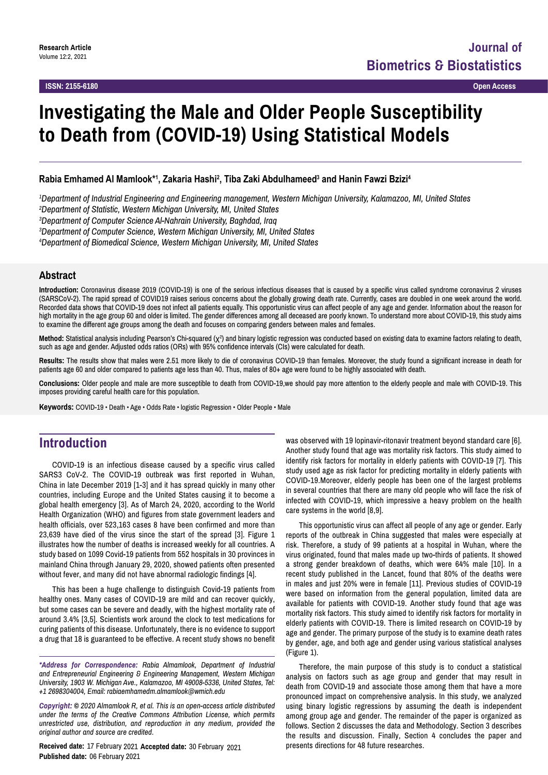# **Investigating the Male and Older People Susceptibility to Death from (COVID-19) Using Statistical Models**

### **Rabia Emhamed Al Mamlook\*1 , Zakaria Hashi2 , Tiba Zaki Abdulhameed3 and Hanin Fawzi Bzizi4**

*1 Department of Industrial Engineering and Engineering management, Western Michigan University, Kalamazoo, MI, United States*

*2 Department of Statistic, Western Michigan University, MI, United States*

*3 Department of Computer Science Al-Nahrain University, Baghdad, Iraq*

*3 Department of Computer Science, Western Michigan University, MI, United States*

*4 Department of Biomedical Science, Western Michigan University, MI, United States*

#### **Abstract**

**Introduction:** Coronavirus disease 2019 (COVID-19) is one of the serious infectious diseases that is caused by a specific virus called syndrome coronavirus 2 viruses (SARSCoV-2). The rapid spread of COVID19 raises serious concerns about the globally growing death rate. Currently, cases are doubled in one week around the world. Recorded data shows that COVID-19 does not infect all patients equally. This opportunistic virus can affect people of any age and gender. Information about the reason for high mortality in the age group 60 and older is limited. The gender differences among all deceased are poorly known. To understand more about COVID-19, this study aims to examine the different age groups among the death and focuses on comparing genders between males and females.

**Method:** Statistical analysis including Pearson's Chi-squared (χ<sup>2</sup>) and binary logistic regression was conducted based on existing data to examine factors relating to death, such as age and gender. Adjusted odds ratios (ORs) with 95% confidence intervals (CIs) were calculated for death.

**Results:** The results show that males were 2.51 more likely to die of coronavirus COVID-19 than females. Moreover, the study found a significant increase in death for patients age 60 and older compared to patients age less than 40. Thus, males of 80+ age were found to be highly associated with death.

**Conclusions:** Older people and male are more susceptible to death from COVID-19,we should pay more attention to the elderly people and male with COVID-19. This imposes providing careful health care for this population.

**Keywords:** COVID-19 • Death • Age • Odds Rate • logistic Regression • Older People • Male

# **Introduction**

COVID-19 is an infectious disease caused by a specific virus called SARS3 CoV-2. The COVID-19 outbreak was first reported in Wuhan, China in late December 2019 [1-3] and it has spread quickly in many other countries, including Europe and the United States causing it to become a global health emergency [3]. As of March 24, 2020, according to the World Health Organization (WHO) and figures from state government leaders and health officials, over 523,163 cases 8 have been confirmed and more than 23,639 have died of the virus since the start of the spread [3]. Figure 1 illustrates how the number of deaths is increased weekly for all countries. A study based on 1099 Covid-19 patients from 552 hospitals in 30 provinces in mainland China through January 29, 2020, showed patients often presented without fever, and many did not have abnormal radiologic findings [4].

This has been a huge challenge to distinguish Covid-19 patients from healthy ones. Many cases of COVID-19 are mild and can recover quickly, but some cases can be severe and deadly, with the highest mortality rate of around 3.4% [3,5]. Scientists work around the clock to test medications for curing patients of this disease. Unfortunately, there is no evidence to support a drug that 18 is guaranteed to be effective. A recent study shows no benefit

*\*Address for Correspondence: Rabia Almamlook, Department of Industrial and Entrepreneurial Engineering & Engineering Management, Western Michigan University, 1903 W. Michigan Ave., Kalamazoo, MI 49008-5336, United States, Tel: +1 2698304004, Email: rabiaemhamedm.almamlook@wmich.edu* 

*Copyright: © 2020 Almamlook R, et al. This is an open-access article distributed under the terms of the Creative Commons Attribution License, which permits unrestricted use, distribution, and reproduction in any medium, provided the original author and source are credited.*

**Received date:** 17 February 2021 **Accepted date:** 30 February 2021 **Published date:** 06 February 2021

was observed with 19 lopinavir-ritonavir treatment beyond standard care [6]. Another study found that age was mortality risk factors. This study aimed to identify risk factors for mortality in elderly patients with COVID-19 [7]. This study used age as risk factor for predicting mortality in elderly patients with COVID-19.Moreover, elderly people has been one of the largest problems in several countries that there are many old people who will face the risk of infected with COVID-19, which impressive a heavy problem on the health care systems in the world [8,9].

This opportunistic virus can affect all people of any age or gender. Early reports of the outbreak in China suggested that males were especially at risk. Therefore, a study of 99 patients at a hospital in Wuhan, where the virus originated, found that males made up two-thirds of patients. It showed a strong gender breakdown of deaths, which were 64% male [10]. In a recent study published in the Lancet, found that 80% of the deaths were in males and just 20% were in female [11]. Previous studies of COVID-19 were based on information from the general population, limited data are available for patients with COVID-19. Another study found that age was mortality risk factors. This study aimed to identify risk factors for mortality in elderly patients with COVID-19. There is limited research on COVID-19 by age and gender. The primary purpose of the study is to examine death rates by gender, age, and both age and gender using various statistical analyses (Figure 1).

Therefore, the main purpose of this study is to conduct a statistical analysis on factors such as age group and gender that may result in death from COVID-19 and associate those among them that have a more pronounced impact on comprehensive analysis. In this study, we analyzed using binary logistic regressions by assuming the death is independent among group age and gender. The remainder of the paper is organized as follows. Section 2 discusses the data and Methodology. Section 3 describes the results and discussion. Finally, Section 4 concludes the paper and presents directions for 48 future researches.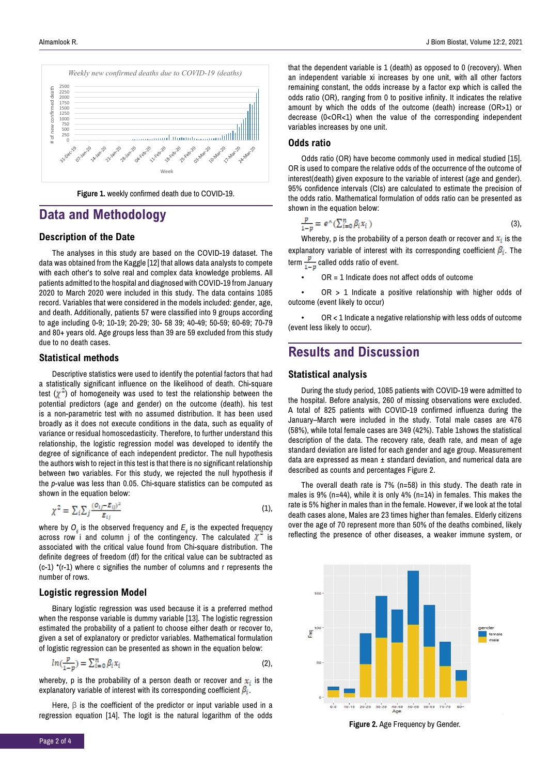

**Figure 1.** weekly confirmed death due to COVID-19.

# **Data and Methodology**

### **Description of the Date**

The analyses in this study are based on the COVID-19 dataset. The data was obtained from the Kaggle [12] that allows data analysts to compete with each other's to solve real and complex data knowledge problems. All patients admitted to the hospital and diagnosed with COVID-19 from January 2020 to March 2020 were included in this study. The data contains 1085 record. Variables that were considered in the models included: gender, age, and death. Additionally, patients 57 were classified into 9 groups according to age including 0-9; 10-19; 20-29; 30- 58 39; 40-49; 50-59; 60-69; 70-79 and 80+ years old. Age groups less than 39 are 59 excluded from this study due to no death cases.

#### **Statistical methods**

Descriptive statistics were used to identify the potential factors that had a statistically significant influence on the likelihood of death. Chi-square test  $(\chi^2)$  of homogeneity was used to test the relationship between the potential predictors (age and gender) on the outcome (death). his test is a non-parametric test with no assumed distribution. It has been used broadly as it does not execute conditions in the data, such as equality of variance or residual homoscedasticity. Therefore, to further understand this relationship, the logistic regression model was developed to identify the degree of significance of each independent predictor. The null hypothesis the authors wish to reject in this test is that there is no significant relationship between two variables. For this study, we rejected the null hypothesis if the *p*-value was less than 0.05. Chi-square statistics can be computed as shown in the equation below:

$$
\chi^2 = \sum_i \sum_j \frac{(o_{ij} - \varepsilon_{ij})^2}{\varepsilon_{ij}} \tag{1}
$$

where by  $O_i$  is the observed frequency and  $E_i$  is the expected frequency across row<sup>'</sup> i and column j of the contingency. The calculated  $\chi^2$  is associated with the critical value found from Chi-square distribution. The definite degrees of freedom (df) for the critical value can be subtracted as (c-1) \*(r-1) where c signifies the number of columns and r represents the number of rows.

#### **Logistic regression Model**

Binary logistic regression was used because it is a preferred method when the response variable is dummy variable [13]. The logistic regression estimated the probability of a patient to choose either death or recover to, given a set of explanatory or predictor variables. Mathematical formulation of logistic regression can be presented as shown in the equation below:

$$
ln(\frac{p}{1-p}) = \sum_{i=0}^{n} \beta_i x_i
$$
 (2),

whereby, p is the probability of a person death or recover and  $x_i$  is the explanatory variable of interest with its corresponding coefficient  $\beta_i$ .

Here, β is the coefficient of the predictor or input variable used in a regression equation [14]. The logit is the natural logarithm of the odds that the dependent variable is 1 (death) as opposed to 0 (recovery). When an independent variable xi increases by one unit, with all other factors remaining constant, the odds increase by a factor exp which is called the odds ratio (OR), ranging from 0 to positive infinity. It indicates the relative amount by which the odds of the outcome (death) increase (OR>1) or decrease (0<OR<1) when the value of the corresponding independent variables increases by one unit.

### **Odds ratio**

Odds ratio (OR) have become commonly used in medical studied [15]. OR is used to compare the relative odds of the occurrence of the outcome of interest(death) given exposure to the variable of interest (age and gender). 95% confidence intervals (CIs) are calculated to estimate the precision of the odds ratio. Mathematical formulation of odds ratio can be presented as shown in the equation below:

$$
\frac{p}{1-p} = e^{\wedge} (\sum_{i=0}^{n} \beta_i x_i)
$$
 (3),

Whereby, p is the probability of a person death or recover and  $x_i$  is the explanatory variable of interest with its corresponding coefficient  $\beta_i$ . The term  $\frac{p}{1-p}$  called odds ratio of event.

 $OR = 1$  Indicate does not affect odds of outcome

 $OR > 1$  Indicate a positive relationship with higher odds of outcome (event likely to occur)

 $OR < 1$  Indicate a negative relationship with less odds of outcome (event less likely to occur).

## **Results and Discussion**

#### **Statistical analysis**

During the study period, 1085 patients with COVID-19 were admitted to the hospital. Before analysis, 260 of missing observations were excluded. A total of 825 patients with COVID-19 confirmed influenza during the January–March were included in the study. Total male cases are 476 (58%), while total female cases are 349 (42%). Table 1shows the statistical description of the data. The recovery rate, death rate, and mean of age standard deviation are listed for each gender and age group. Measurement data are expressed as mean ± standard deviation, and numerical data are described as counts and percentages Figure 2.

The overall death rate is 7% (n=58) in this study. The death rate in males is 9% (n=44), while it is only 4% (n=14) in females. This makes the rate is 5% higher in males than in the female. However, if we look at the total death cases alone, Males are 23 times higher than females. Elderly citizens over the age of 70 represent more than 50% of the deaths combined, likely reflecting the presence of other diseases, a weaker immune system, or



**Figure 2.** Age Frequency by Gender.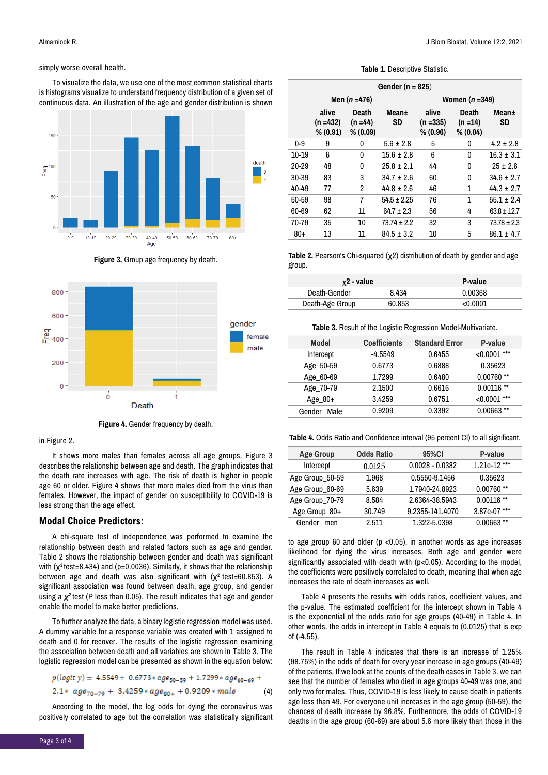#### simply worse overall health.

To visualize the data, we use one of the most common statistical charts is histograms visualize to understand frequency distribution of a given set of continuous data. An illustration of the age and gender distribution is shown



**Figure 3.** Group age frequency by death.



**Figure 4.** Gender frequency by death.

#### in Figure 2.

It shows more males than females across all age groups. Figure 3 describes the relationship between age and death. The graph indicates that the death rate increases with age. The risk of death is higher in people age 60 or older. Figure 4 shows that more males died from the virus than females. However, the impact of gender on susceptibility to COVID-19 is less strong than the age effect.

#### **Modal Choice Predictors:**

A chi-square test of independence was performed to examine the relationship between death and related factors such as age and gender. Table 2 shows the relationship between gender and death was significant with (χ<sup>2</sup>test=8.434) and (p=0.0036). Similarly, it shows that the relationship between age and death was also significant with (χ**<sup>2</sup>**test=60.853). A significant association was found between death, age group, and gender using a *χ***<sup>2</sup>**test (P less than 0.05). The result indicates that age and gender enable the model to make better predictions.

To further analyze the data, a binary logistic regression model was used. A dummy variable for a response variable was created with 1 assigned to death and 0 for recover. The results of the logistic regression examining the association between death and all variables are shown in Table 3. The logistic regression model can be presented as shown in the equation below:

$$
p(logit y) = 4.5549 + 0.6773 * age_{50-59} + 1.7299 * age_{60-69} + 2.1 * age_{70-79} + 3.4259 * age_{60+} + 0.9209 * male
$$
 (4)

According to the model, the log odds for dying the coronavirus was positively correlated to age but the correlation was statistically significant

#### **Table 1.** Descriptive Statistic.

| Gender ( $n = 825$ ) |                               |                                 |                    |                                  |                                 |                 |  |  |  |
|----------------------|-------------------------------|---------------------------------|--------------------|----------------------------------|---------------------------------|-----------------|--|--|--|
|                      |                               | Men $(n = 476)$                 |                    | Women $(n=349)$                  |                                 |                 |  |  |  |
|                      | alive<br>(n =432)<br>% (0.91) | Death<br>$(n = 44)$<br>% (0.09) | Mean±<br><b>SD</b> | alive<br>$(n = 335)$<br>% (0.96) | Death<br>$(n = 14)$<br>% (0.04) | Mean±<br>SD     |  |  |  |
| 0-9                  | 9                             | 0                               | $5.6 \pm 2.8$      | 5                                | 0                               | $4.2 \pm 2.8$   |  |  |  |
| $10 - 19$            | 6                             | 0                               | $15.6 \pm 2.8$     | 6                                | 0                               | $16.3 \pm 3.1$  |  |  |  |
| $20 - 29$            | 48                            | 0                               | $25.8 \pm 2.1$     | 44                               | 0                               | $25 \pm 2.6$    |  |  |  |
| 30-39                | 83                            | 3                               | $34.7 \pm 2.6$     | 60                               | 0                               | $34.6 \pm 2.7$  |  |  |  |
| 40-49                | 77                            | 2                               | $44.8 \pm 2.6$     | 46                               | $\mathbf{1}$                    | $44.3 \pm 2.7$  |  |  |  |
| 50-59                | 98                            | 7                               | $54.5 \pm 2.25$    | 76                               | 1                               | $55.1 + 2.4$    |  |  |  |
| 60-69                | 62                            | 11                              | $64.7 \pm 2.3$     | 56                               | 4                               | $63.8 \pm 12.7$ |  |  |  |
| 70-79                | 35                            | 10                              | $73.74 \pm 2.2$    | 32                               | 3                               | $73.78 \pm 2.3$ |  |  |  |
| $80+$                | 13                            | 11                              | $84.5 \pm 3.2$     | 10                               | 5                               | $86.1 \pm 4.7$  |  |  |  |

**Table 2.** Pearson's Chi-squared (χ2) distribution of death by gender and age group.

| $\chi$ 2 - value |        | P-value  |  |  |
|------------------|--------|----------|--|--|
| Death-Gender     | 8.434  | 0.00368  |  |  |
| Death-Age Group  | 60.853 | < 0.0001 |  |  |

#### **Table 3.** Result of the Logistic Regression Model-Multivariate.

| <b>Model</b> | <b>Coefficients</b> | <b>Standard Error</b> | P-value        |
|--------------|---------------------|-----------------------|----------------|
| Intercept    | $-4.5549$           | 0.6455                | $< 0.0001$ *** |
| Age 50-59    | 0.6773              | 0.6888                | 0.35623        |
| Age_60-69    | 1.7299              | 0.6480                | $0.00760**$    |
| Age_70-79    | 2.1500              | 0.6616                | $0.00116$ **   |
| Age $80+$    | 3.4259              | 0.6751                | $< 0.0001$ *** |
| Gender Male  | 0.9209              | 0.3392                | $0.00663$ **   |

**Table 4.** Odds Ratio and Confidence interval (95 percent CI) to all significant.

| <b>Age Group</b> | <b>Odds Ratio</b> | 95%CI           | P-value        |
|------------------|-------------------|-----------------|----------------|
| Intercept        | 0.0125            | 0.0028 - 0.0382 | $1.21e-12$ *** |
| Age Group_50-59  | 1.968             | 0.5550-9.1456   | 0.35623        |
| Age Group_60-69  | 5.639             | 1.7940-24.8923  | $0.00760**$    |
| Age Group_70-79  | 8.584             | 2.6364-38.5943  | $0.00116$ **   |
| Age Group 80+    | 30.749            | 9.2355-141.4070 | 3.87e-07 ***   |
| Gender men       | 2.511             | 1.322-5.0398    | $0.00663$ **   |

to age group 60 and older ( $p$  <0.05), in another words as age increases likelihood for dying the virus increases. Both age and gender were significantly associated with death with (p<0.05). According to the model, the coefficients were positively correlated to death, meaning that when age increases the rate of death increases as well.

Table 4 presents the results with odds ratios, coefficient values, and the p-value. The estimated coefficient for the intercept shown in Table 4 is the exponential of the odds ratio for age groups (40-49) in Table 4. In other words, the odds in intercept in Table 4 equals to (0.0125) that is exp of (-4.55).

The result in Table 4 indicates that there is an increase of 1.25% (98.75%) in the odds of death for every year increase in age groups (40-49) of the patients. If we look at the counts of the death cases in Table 3. we can see that the number of females who died in age groups 40-49 was one, and only two for males. Thus, COVID-19 is less likely to cause death in patients age less than 49. For everyone unit increases in the age group (50-59), the chances of death increase by 96.8%. Furthermore, the odds of COVID-19 deaths in the age group (60-69) are about 5.6 more likely than those in the